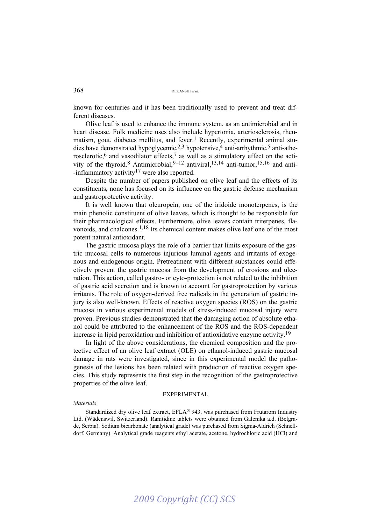known for centuries and it has been traditionally used to prevent and treat different diseases.

Olive leaf is used to enhance the immune system, as an antimicrobial and in heart disease. Folk medicine uses also include hypertonia, arteriosclerosis, rheumatism, gout, diabetes mellitus, and fever.<sup>1</sup> Recently, experimental animal studies have demonstrated hypoglycemic,2,3 hypotensive,4 anti-arrhythmic,5 anti-atherosclerotic,<sup>6</sup> and vasodilator effects,<sup>7</sup> as well as a stimulatory effect on the activity of the thyroid.<sup>8</sup> Antimicrobial,  $9-12$  antiviral,  $13,14$  anti-tumor,  $15,16$  and anti- $-inflammatory activity<sup>17</sup>$  were also reported.

Despite the number of papers published on olive leaf and the effects of its constituents, none has focused on its influence on the gastric defense mechanism and gastroprotective activity.

It is well known that oleuropein, one of the iridoide monoterpenes, is the main phenolic constituent of olive leaves, which is thought to be responsible for their pharmacological effects. Furthermore, olive leaves contain triterpenes, flavonoids, and chalcones.1,18 Its chemical content makes olive leaf one of the most potent natural antioxidant.

The gastric mucosa plays the role of a barrier that limits exposure of the gastric mucosal cells to numerous injurious luminal agents and irritants of exogenous and endogenous origin. Pretreatment with different substances could effectively prevent the gastric mucosa from the development of erosions and ulceration. This action, called gastro- or cyto-protection is not related to the inhibition of gastric acid secretion and is known to account for gastroprotection by various irritants. The role of oxygen-derived free radicals in the generation of gastric injury is also well-known. Effects of reactive oxygen species (ROS) on the gastric mucosa in various experimental models of stress-induced mucosal injury were proven. Previous studies demonstrated that the damaging action of absolute ethanol could be attributed to the enhancement of the ROS and the ROS-dependent increase in lipid peroxidation and inhibition of antioxidative enzyme activity.19

In light of the above considerations, the chemical composition and the protective effect of an olive leaf extract (OLE) on ethanol-induced gastric mucosal damage in rats were investigated, since in this experimental model the pathogenesis of the lesions has been related with production of reactive oxygen species. This study represents the first step in the recognition of the gastroprotective properties of the olive leaf.

#### EXPERIMENTAL

#### *Materials*

Standardized dry olive leaf extract, EFLA® 943, was purchased from Frutarom Industry Ltd. (Wädenswil, Switzerland). Ranitidine tablets were obtained from Galenika a.d. (Belgrade, Serbia). Sodium bicarbonate (analytical grade) was purchased from Sigma-Aldrich (Schnelldorf, Germany). Analytical grade reagents ethyl acetate, acetone, hydrochloric acid (HCl) and

# *2009 Copyright (CC) SCS*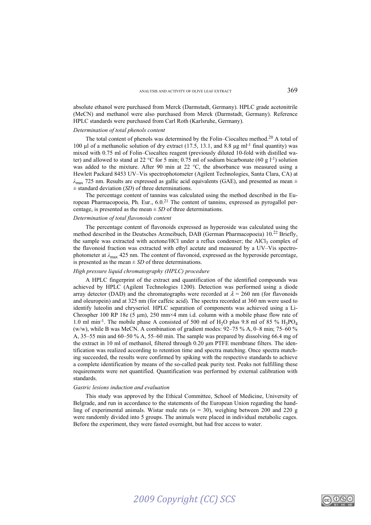absolute ethanol were purchased from Merck (Darmstadt, Germany). HPLC grade acetonitrile (MeCN) and methanol were also purchased from Merck (Darmstadt, Germany). Reference HPLC standards were purchased from Carl Roth (Karlsruhe, Germany).

#### *Determination of total phenols content*

The total content of phenols was determined by the Folin–Ciocalteu method.<sup>20</sup> A total of 100 μl of a methanolic solution of dry extract (17.5, 13.1, and 8.8 μg ml<sup>-1</sup> final quantity) was mixed with 0.75 ml of Folin–Ciocalteu reagent (previously diluted 10-fold with distilled water) and allowed to stand at 22 °C for 5 min; 0.75 ml of sodium bicarbonate (60 g l<sup>-1</sup>) solution was added to the mixture. After 90 min at 22 °C, the absorbance was measured using a Hewlett Packard 8453 UV–Vis spectrophotometer (Agilent Technologies, Santa Clara, CA) at *λ*max 725 nm. Results are expressed as gallic acid equivalents (GAE), and presented as mean ± ± standard deviation (*SD*) of three determinations.

The percentage content of tannins was calculated using the method described in the European Pharmacopoeia, Ph. Eur., 6.0.21 The content of tannins, expressed as pyrogallol percentage, is presented as the mean  $\pm$  *SD* of three determinations.

#### *Determination of total flavonoids content*

The percentage content of flavonoids expressed as hyperoside was calculated using the method described in the Deutsches Arzneibuch, DAB (German Pharmacopoeia) 10.22 Briefly, the sample was extracted with acetone/HCl under a reflux condenser; the AlCl<sub>3</sub> complex of the flavonoid fraction was extracted with ethyl acetate and measured by a UV–Vis spectrophotometer at *λ*max 425 nm. The content of flavonoid, expressed as the hyperoside percentage, is presented as the mean  $\pm$  *SD* of three determinations.

#### *High pressure liquid chromatography (HPLC) procedure*

A HPLC fingerprint of the extract and quantification of the identified compounds was achieved by HPLC (Agilent Technologies 1200). Detection was performed using a diode array detector (DAD) and the chromatographs were recorded at  $\lambda = 260$  nm (for flavonoids and oleuropein) and at 325 nm (for caffeic acid). The spectra recorded at 360 nm were used to identify luteolin and chryseriol. HPLC separation of components was achieved using a Li-Chrospher 100 RP 18e (5 μm), 250 mm×4 mm i.d. column with a mobile phase flow rate of 1.0 ml min<sup>-1</sup>. The mobile phase A consisted of 500 ml of H<sub>2</sub>O plus 9.8 ml of 85 % H<sub>3</sub>PO<sub>4</sub> (w/w), while B was MeCN. A combination of gradient modes: 92–75 % A, 0–8 min; 75–60 % A, 35–55 min and 60–50 % A, 55–60 min. The sample was prepared by dissolving 66.4 mg of the extract in 10 ml of methanol, filtered through 0.20 μm PTFE membrane filters. The identification was realized according to retention time and spectra matching. Once spectra matching succeeded, the results were confirmed by spiking with the respective standards to achieve a complete identification by means of the so-called peak purity test. Peaks not fulfilling these requirements were not quantified. Quantification was performed by external calibration with standards.

#### *Gastric lesions induction and evaluation*

This study was approved by the Ethical Committee, School of Medicine, University of Belgrade, and run in accordance to the statements of the European Union regarding the handling of experimental animals. Wistar male rats  $(n = 30)$ , weighing between 200 and 220 g were randomly divided into 5 groups. The animals were placed in individual metabolic cages. Before the experiment, they were fasted overnight, but had free access to water.

<u>ವ ೧೮೦</u>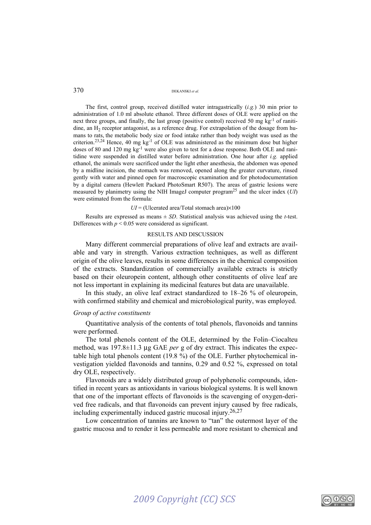The first, control group, received distilled water intragastrically (*i.g.*) 30 min prior to administration of 1.0 ml absolute ethanol. Three different doses of OLE were applied on the next three groups, and finally, the last group (positive control) received 50 mg  $\rm kg^{-1}$  of ranitidine, an  $H<sub>2</sub>$  receptor antagonist, as a reference drug. For extrapolation of the dosage from humans to rats, the metabolic body size or food intake rather than body weight was used as the criterion.<sup>23,24</sup> Hence, 40 mg kg<sup>-1</sup> of OLE was administered as the minimum dose but higher doses of 80 and 120 mg kg<sup>-1</sup> were also given to test for a dose response. Both OLE and ranitidine were suspended in distilled water before administration. One hour after *i.g.* applied ethanol, the animals were sacrificed under the light ether anesthesia, the abdomen was opened by a midline incision, the stomach was removed, opened along the greater curvature, rinsed gently with water and pinned open for macroscopic examination and for photodocumentation by a digital camera (Hewlett Packard PhotoSmart R507). The areas of gastric lesions were measured by planimetry using the NIH ImageJ computer program25 and the ulcer index (*UI*) were estimated from the formula:

#### $UI = (Uleerated area/Total stomach area) \times 100$

Results are expressed as means ± *SD*. Statistical analysis was achieved using the *t*-test. Differences with  $p < 0.05$  were considered as significant.

#### RESULTS AND DISCUSSION

Many different commercial preparations of olive leaf and extracts are available and vary in strength. Various extraction techniques, as well as different origin of the olive leaves, results in some differences in the chemical composition of the extracts. Standardization of commercially available extracts is strictly based on their oleuropein content, although other constituents of olive leaf are not less important in explaining its medicinal features but data are unavailable.

In this study, an olive leaf extract standardized to 18–26 % of oleuropein, with confirmed stability and chemical and microbiological purity, was employed.

### *Group of active constituents*

Quantitative analysis of the contents of total phenols, flavonoids and tannins were performed.

The total phenols content of the OLE, determined by the Folin–Ciocalteu method, was 197.8±11.3 μg GAE *per* g of dry extract. This indicates the expectable high total phenols content (19.8 %) of the OLE. Further phytochemical investigation yielded flavonoids and tannins, 0.29 and 0.52 %, expressed on total dry OLE, respectively.

Flavonoids are a widely distributed group of polyphenolic compounds, identified in recent years as antioxidants in various biological systems. It is well known that one of the important effects of flavonoids is the scavenging of oxygen-derived free radicals, and that flavonoids can prevent injury caused by free radicals, including experimentally induced gastric mucosal injury.26,27

Low concentration of tannins are known to "tan" the outermost layer of the gastric mucosa and to render it less permeable and more resistant to chemical and

## *2009 Copyright (CC) SCS*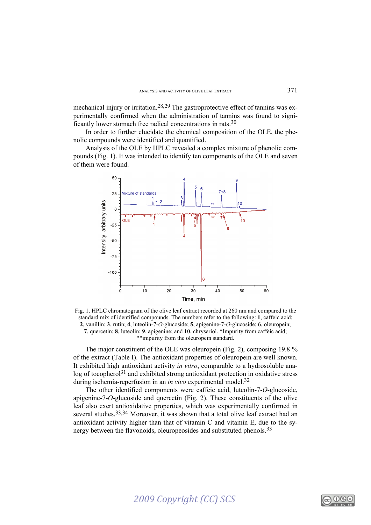mechanical injury or irritation.28,29 The gastroprotective effect of tannins was experimentally confirmed when the administration of tannins was found to significantly lower stomach free radical concentrations in rats.30

In order to further elucidate the chemical composition of the OLE, the phenolic compounds were identified and quantified.

Analysis of the OLE by HPLC revealed a complex mixture of phenolic compounds (Fig. 1). It was intended to identify ten components of the OLE and seven of them were found.



Fig. 1. HPLC chromatogram of the olive leaf extract recorded at 260 nm and compared to the standard mix of identified compounds. The numbers refer to the following: **1**, caffeic acid; **2**, vanillin; **3**, rutin; **4**, luteolin-7-*O*-glucoside; **5**, apigenine-7-*O*-glucoside; **6**, oleuropein; **7**, quercetin; **8**, luteolin; **9**, apigenine; and **10**, chryseriol. \*Impurity from caffeic acid; \*\*impurity from the oleuropein standard.

The major constituent of the OLE was oleuropein (Fig. 2), composing 19.8 % of the extract (Table I). The antioxidant properties of oleuropein are well known. It exhibited high antioxidant activity *in vitro*, comparable to a hydrosoluble analog of tocopherol<sup>31</sup> and exhibited strong antioxidant protection in oxidative stress during ischemia-reperfusion in an *in vivo* experimental model.32

The other identified components were caffeic acid, luteolin-7-*O*-glucoside, apigenine-7-*O*-glucoside and quercetin (Fig. 2). These constituents of the olive leaf also exert antioxidative properties, which was experimentally confirmed in several studies.<sup>33,34</sup> Moreover, it was shown that a total olive leaf extract had an antioxidant activity higher than that of vitamin C and vitamin E, due to the synergy between the flavonoids, oleuropeosides and substituted phenols.<sup>33</sup>

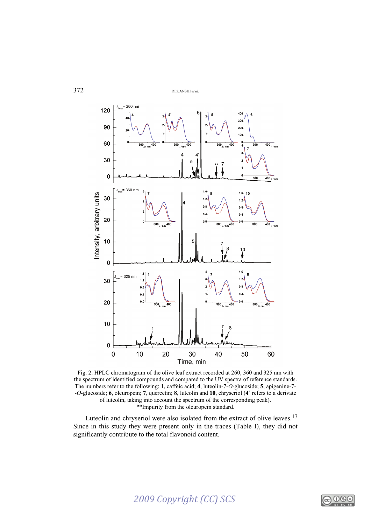

Fig. 2. HPLC chromatogram of the olive leaf extract recorded at 260, 360 and 325 nm with the spectrum of identified compounds and compared to the UV spectra of reference standards. The numbers refer to the following: **1**, caffeic acid; **4**, luteolin-7-*O*-glucoside; **5**, apigenine-7- -*O*-glucoside; **6**, oleuropein; **7**, quercetin; **8**, luteolin and **10**, chryseriol (**4**' refers to a derivate of luteolin, taking into account the spectrum of the corresponding peak). \*\*Impurity from the oleuropein standard.

Luteolin and chryseriol were also isolated from the extract of olive leaves.17 Since in this study they were present only in the traces (Table I), they did not significantly contribute to the total flavonoid content.

# *2009 Copyright (CC) SCS*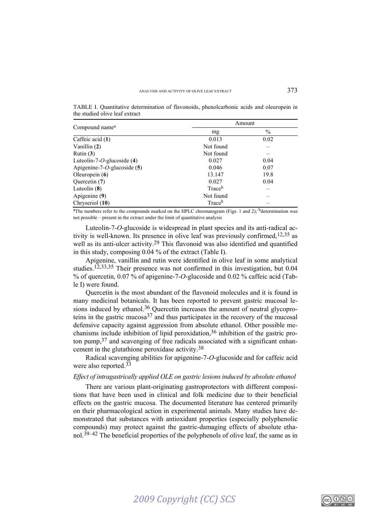TABLE I. Quantitative determination of flavonoids, phenolcarbonic acids and oleuropein in the studied olive leaf extract

| Compound name <sup>a</sup>      | Amount             |               |
|---------------------------------|--------------------|---------------|
|                                 | mg                 | $\frac{0}{0}$ |
| Caffeic acid $(1)$              | 0.013              | 0.02          |
| Vanillin $(2)$                  | Not found          |               |
| Rutin $(3)$                     | Not found          |               |
| Luteolin-7- $O$ -glucoside (4)  | 0.027              | 0.04          |
| Apigenine-7- $O$ -glucoside (5) | 0.046              | 0.07          |
| Oleuropein $(6)$                | 13.147             | 19.8          |
| Quercetin (7)                   | 0.027              | 0.04          |
| Luteolin $(8)$                  | Trace <sup>b</sup> |               |
| Apigenine (9)                   | Not found          |               |
| Chryseriol (10)                 | Trace <sup>b</sup> |               |

<sup>a</sup>The numbers refer to the compounds marked on the HPLC chromatogram (Figs. 1 and 2); <sup>b</sup>determination was not possible – present in the extract under the limit of quantitative analysis

Luteolin-7-*O*-glucoside is widespread in plant species and its anti-radical activity is well-known. Its presence in olive leaf was previously confirmed,  $12,35$  as well as its anti-ulcer activity.<sup>29</sup> This flavonoid was also identified and quantified in this study, composing 0.04 % of the extract (Table I).

Apigenine, vanillin and rutin were identified in olive leaf in some analytical studies.12,33,35 Their presence was not confirmed in this investigation, but 0.04 % of quercetin, 0.07 % of apigenine-7-*O*-glucoside and 0.02 % caffeic acid (Table I) were found.

Quercetin is the most abundant of the flavonoid molecules and it is found in many medicinal botanicals. It has been reported to prevent gastric mucosal lesions induced by ethanol.<sup>36</sup> Quercetin increases the amount of neutral glycoproteins in the gastric mucosa<sup>37</sup> and thus participates in the recovery of the mucosal defensive capacity against aggression from absolute ethanol. Other possible mechanisms include inhibition of lipid peroxidation,36 inhibition of the gastric proton pump,37 and scavenging of free radicals associated with a significant enhancement in the glutathione peroxidase activity.38

Radical scavenging abilities for apigenine-7-*O*-glucoside and for caffeic acid were also reported.<sup>33</sup>

## *Effect of intragastrically applied OLE on gastric lesions induced by absolute ethanol*

There are various plant-originating gastroprotectors with different compositions that have been used in clinical and folk medicine due to their beneficial effects on the gastric mucosa. The documented literature has centered primarily on their pharmacological action in experimental animals. Many studies have demonstrated that substances with antioxidant properties (especially polyphenolic compounds) may protect against the gastric-damaging effects of absolute ethanol.<sup>39–42</sup> The beneficial properties of the polyphenols of olive leaf, the same as in

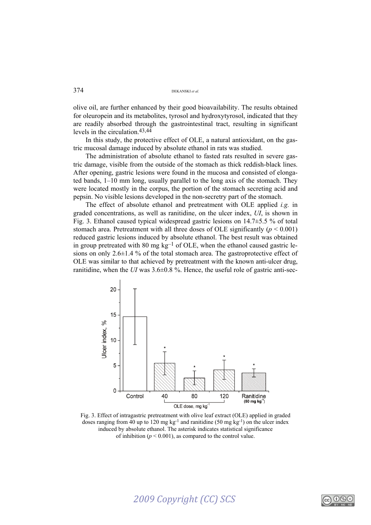olive oil, are further enhanced by their good bioavailability. The results obtained for oleuropein and its metabolites, tyrosol and hydroxytyrosol, indicated that they are readily absorbed through the gastrointestinal tract, resulting in significant levels in the circulation.43,44

In this study, the protective effect of OLE, a natural antioxidant, on the gastric mucosal damage induced by absolute ethanol in rats was studied.

The administration of absolute ethanol to fasted rats resulted in severe gastric damage, visible from the outside of the stomach as thick reddish-black lines. After opening, gastric lesions were found in the mucosa and consisted of elongated bands, 1–10 mm long, usually parallel to the long axis of the stomach. They were located mostly in the corpus, the portion of the stomach secreting acid and pepsin. No visible lesions developed in the non-secretry part of the stomach.

The effect of absolute ethanol and pretreatment with OLE applied *i.g.* in graded concentrations, as well as ranitidine, on the ulcer index, *UI*, is shown in Fig. 3. Ethanol caused typical widespread gastric lesions on 14.7±5.5 % of total stomach area. Pretreatment with all three doses of OLE significantly (*p* < 0.001) reduced gastric lesions induced by absolute ethanol. The best result was obtained in group pretreated with 80 mg  $kg^{-1}$  of OLE, when the ethanol caused gastric lesions on only 2.6 $\pm$ 1.4 % of the total stomach area. The gastroprotective effect of OLE was similar to that achieved by pretreatment with the known anti-ulcer drug, ranitidine, when the *UI* was  $3.6\pm0.8$  %. Hence, the useful role of gastric anti-sec-



Fig. 3. Effect of intragastric pretreatment with olive leaf extract (OLE) applied in graded doses ranging from 40 up to 120 mg kg<sup>-1</sup> and ranitidine (50 mg kg<sup>-1</sup>) on the ulcer index induced by absolute ethanol. The asterisk indicates statistical significance of inhibition  $(p < 0.001)$ , as compared to the control value.

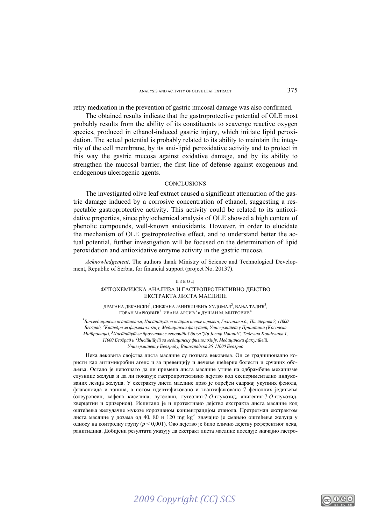retry medication in the prevention of gastric mucosal damage was also confirmed.

The obtained results indicate that the gastroprotective potential of OLE most probably results from the ability of its constituents to scavenge reactive oxygen species, produced in ethanol-induced gastric injury, which initiate lipid peroxidation. The actual potential is probably related to its ability to maintain the integrity of the cell membrane, by its anti-lipid peroxidative activity and to protect in this way the gastric mucosa against oxidative damage, and by its ability to strengthen the mucosal barrier, the first line of defense against exogenous and endogenous ulcerogenic agents.

#### **CONCLUSIONS**

The investigated olive leaf extract caused a significant attenuation of the gastric damage induced by a corrosive concentration of ethanol, suggesting a respectable gastroprotective activity. This activity could be related to its antioxidative properties, since phytochemical analysis of OLE showed a high content of phenolic compounds, well-known antioxidants. However, in order to elucidate the mechanism of OLE gastroprotective effect, and to understand better the actual potential, further investigation will be focused on the determination of lipid peroxidation and antioxidative enzyme activity in the gastric mucosa.

*Acknowledgement*. The authors thank Ministry of Science and Technological Development, Republic of Serbia, for financial support (project No. 20137).

#### ИЗВОД

### ФИТОХЕМИЈСКА АНАЛИЗА И ГАСТРОПРОТЕКТИВНО ДЕЈСТВО ЕКСТРАКТА ЛИСТА МАСЛИНЕ

ДРАГАНА ДЕКАНСКИ<sup>1</sup>, СНЕЖАНА ЈАНИЋИЈЕВИЋ-ХУДОМАЛ<sup>2</sup>, ВАЊА ТАДИЋ<sup>3</sup>,  $\Gamma$ ОРАН МАРКОВИЋ<sup>3</sup>, ИВАНА АРСИЋ<sup>3</sup> и ЛУШАН М. МИТРОВИЋ<sup>4</sup>

<sup>1</sup> Биомедицинска исйи<del>йивања, Инсйийдуй за исйраживање и развој, Галеника а.д., Пас<del>й</del>ерова 2, 11000 <sup>.</sup></del>  $B$ ео $\bar{z}$ рад, <sup>2</sup> $K$ аїйедра за фармаколо $\bar{z}$ ију, Медицински факуїйей, Универзиїйей у Пришйини (Косовска *Mutupoвица), <sup>3</sup>Инстиитути за проучавање лековитог биља "Др Јосиф Панчић", Тадеуша Кошћушка 1,* 11000 Бео $\bar{\imath}$ рад и <sup>4</sup>Инсійийуй за медицинску физиоло $\bar{\imath}$ ију, Медицински факулійей, *Univerzitet u Beogradu, Vi{egradska 26, 11000 Beograd* 

Нека лековита својства листа маслине су позната вековима. Он се традиционално користи као антимикробни агенс и за превенцију и лечење шећерне болести и срчаних обољења. Остало је непознато да ли примена листа маслине утиче на одбрамбене механизме слузнице желуца и да ли показује гастропротективно дејство код експериментално индукованих лезија желуца. У екстракту листа маслине прво је одређен садржај укупних фенола, флавоноида и танина, а потом идентификовано и квантификовано 7 фенолних једињења (олеуропеин, кафена киселина, лутеолин, лутеолин-7-*О*-глукозид, апигенин-7-*О*-глукозид, кверцетин и хризериол). Испитано је и протективно дејство екстракта листа маслине код оштећења желудачне мукозе корозивном концентрацијом етанола. Претретман екстрактом листа маслине у дозама од 40, 80 и 120 mg  $kg^{-1}$  значајно је смањио оштећење желуца у односу на контролну групу (*p* < 0,001). Ово дејство је било слично дејству референтног лека, ранитидина. Добијени резултати указују да екстракт листа маслине поседује значајно гастро-

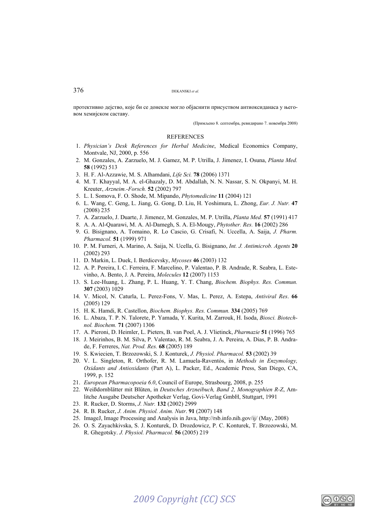протективно дејство, које би се донекле могло објаснити присуством антиоксиданаса у његовом хемијском саставу.

(Примљено 8. септембра, ревидирано 7. новембра 2008)

#### **REFERENCES**

- 1. *Physician's Desk References for Herbal Medicine*, Medical Economics Company, Montvale, NJ, 2000, p. 556
- 2. M. Gonzales, A. Zarzuelo, M. J. Gamez, M. P. Utrilla, J. Jimenez, I. Osuna, *Planta Med.*  **58** (1992) 513
- 3. H. F. Al-Azzawie, M. S. Alhamdani, *Life Sci.* **78** (2006) 1371
- 4. M. T. Khayyal, M. A. el-Ghazaly, D. M. Abdallah, N. N. Nassar, S. N. Okpanyi, M. H. Kreuter, *Arzneim.-Forsch.* **52** (2002) 797
- 5. L. I. Somova, F. O. Shode, M. Mipando, *Phytomedicine* **11** (2004) 121
- 6. L. Wang, C. Geng, L. Jiang, G. Gong, D. Liu, H. Yoshimura, L. Zhong, *Eur. J. Nutr.* **47** (2008) 235
- 7. A. Zarzuelo, J. Duarte, J. Jimenez, M. Gonzales, M. P. Utrilla, *Planta Med.* **57** (1991) 417
- 8. A. A. Al-Quarawi, M. A. Al-Damegh, S. A. El-Mougy, *Phytother. Res.* **16** (2002) 286
- 9. G. Bisignano, A. Tomaino, R. Lo Cascio, G. Crisafi, N. Uccella, A. Saija, *J. Pharm. Pharmacol.* **51** (1999) 971
- 10. P. M. Furneri, A. Marino, A. Saija, N. Ucella, G. Bisignano, *Int. J. Antimicrob. Agents* **20** (2002) 293
- 11. D. Markin, L. Duek, I. Berdicevsky, *Mycoses* **46** (2003) 132
- 12. A. P. Pereira, I. C. Ferreira, F. Marcelino, P. Valentao, P. B. Andrade, R. Seabra, L. Estevinho, A. Bento, J. A. Pereira, *Molecules* **12** (2007) 1153
- 13. S. Lee-Huang, L. Zhang, P. L. Huang, Y. T. Chang, *Biochem. Biophys. Res. Commun.* **307** (2003) 1029
- 14. V. Micol, N. Caturla, L. Perez-Fons, V. Mas, L. Perez, A. Estepa, *Antiviral Res*. **66** (2005) 129
- 15. H. K. Hamdi, R. Castellon, *Biochem. Biophys. Res. Commun.* **334** (2005) 769
- 16. L. Abaza, T. P. N. Talorete, P. Yamada, Y. Kurita, M. Zarrouk, H. Isoda, *Biosci. Biotechnol. Biochem.* **71** (2007) 1306
- 17. A. Pieroni, D. Heimler, L. Pieters, B. van Poel, A. J. Vlietinck, *Pharmazie* **51** (1996) 765
- 18. J. Meirinhos, B. M. Silva, P. Valentao, R. M. Seabra, J. A. Pereira, A. Dias, P. B. Andrade, F. Ferreres, *Nat. Prod. Res.* **68** (2005) 189
- 19. S. Kwiecien, T. Brzozowski, S. J. Konturek, *J. Physiol. Pharmacol.* **53** (2002) 39
- 20. V. L. Singleton, R. Orthofer, R. M. Lamuela-Raventós, in *Methods in Enzymology, Oxidants and Antioxidants* (Part A), L. Packer, Ed., Academic Press, San Diego, CA, 1999, p. 152
- 21. *European Pharmacopoeia 6.0*, Council of Europe, Strasbourg, 2008, p. 255
- 22. Weißdornblätter mit Blüten, in *Deutsches Arzneibuch, Band 2, Monographien R-Z*, Amlitche Ausgabe Deutscher Apotheker Verlag, Govi-Verlag GmbH, Stuttgart, 1991
- 23. R. Rucker, D. Storms, *J. Nutr.* **132** (2002) 2999
- 24. R. B. Rucker, *J. Anim. Physiol. Anim. Nutr*. **91** (2007) 148
- 25. ImageJ, Image Processing and Analysis in Java, http://rsb.info.nih.gov/ij/ (May, 2008)
- 26. O. S. Zayachkivska, S. J. Konturek, D. Drozdowicz, P. C. Konturek, T. Brzozowski, M. R. Ghegotsky. *J. Physiol. Pharmacol.* **56** (2005) 219